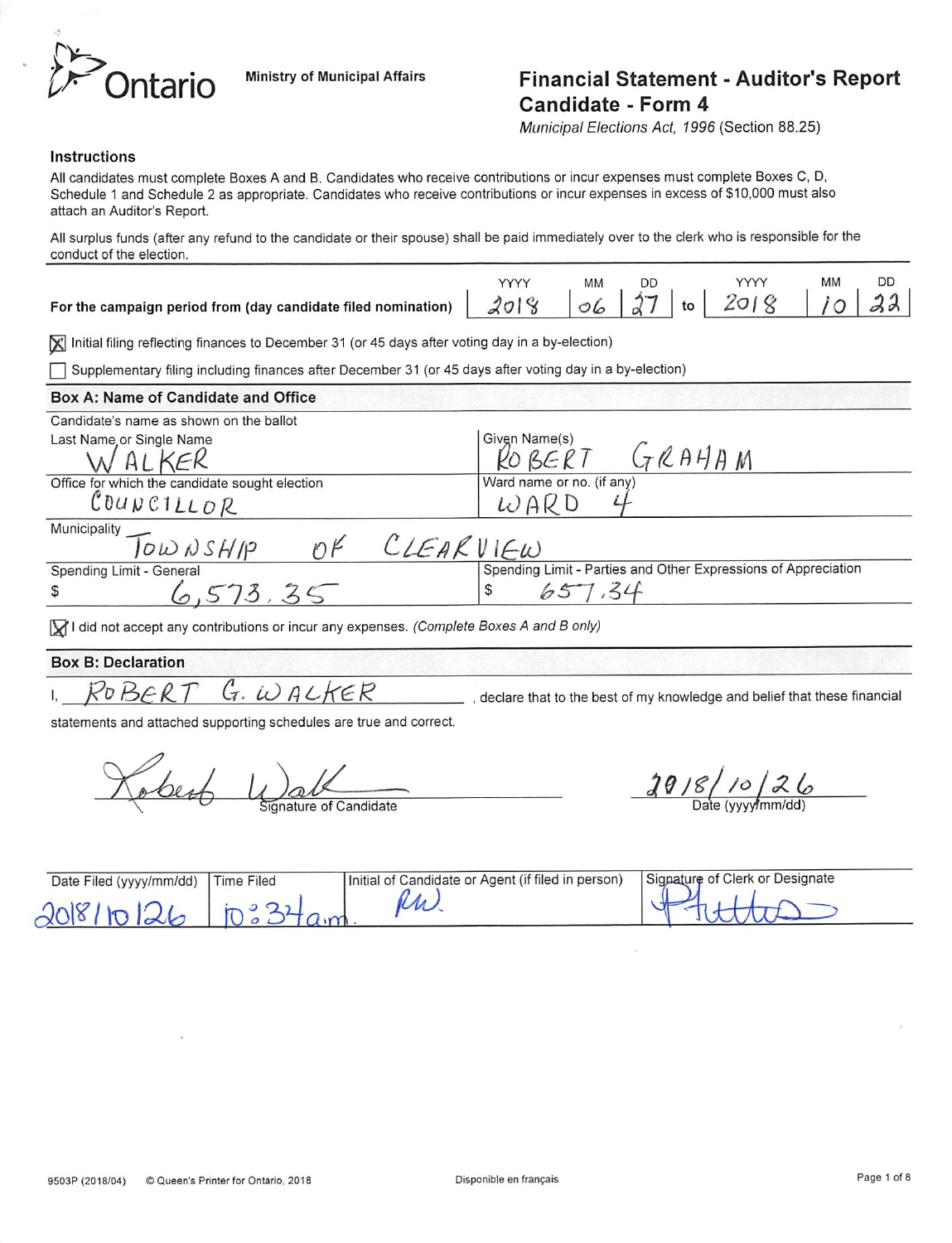

## Intario Ministry of Municipal Affairs Financial Statement - Auditor's Report Candidate - Form 4

Municipal Elections Act, 1996 (Section 88.25)

#### Instructions

All candidates must complete Boxes A and B. Candidates who receive contributions or incur expenses must complete Boxes C, D, Schedule 1 and Schedule 2 as appropriate. Candidates who receive contributions or incur expenses in excess of \$10,000 must also attach an Auditor's Report.

All surplus funds (after any refund to the candidate or their spouse) shall be paid immediately over to the clerk who is responsible for the conduct of the election.

|                                                                                                | MМ |  | <b>YYYY</b> | MМ | <b>DD</b> |
|------------------------------------------------------------------------------------------------|----|--|-------------|----|-----------|
| For the campaign period from (day candidate filed nomination) $2018$ $657$ to $2018$ $10$ $33$ |    |  |             |    |           |

Initial filing reflecting finances to December 31 (or 45 days after voting day in a by-election)

Supplementary filing including finances after December 31 (or 45 days after voting day in a by-election)

| Box A: Name of Candidate and Office                                                                               |                                                                |
|-------------------------------------------------------------------------------------------------------------------|----------------------------------------------------------------|
| Candidate's name as shown on the ballot                                                                           |                                                                |
| Last Name or Single Name                                                                                          | Givgn Name(s)                                                  |
|                                                                                                                   | ROBERT GRAHAM                                                  |
| Office for which the candidate sought election                                                                    | Ward name or no. (if any)                                      |
| COUNCILLOR                                                                                                        | WARD                                                           |
|                                                                                                                   |                                                                |
| Municipality $\overline{J} \overline{\omega} \overline{\omega} \overline{\omega} \overline{s}$ $H/p$<br>CLEARVIEW |                                                                |
| Spending Limit - General                                                                                          | Spending Limit - Parties and Other Expressions of Appreciation |
| \$                                                                                                                | \$                                                             |

 $\Box$  I did not accept any contributions or incur any expenses. (Complete Boxes A and B only)

### Box B: Declaration

 $I.$  ROBERT G. WALKER

, declare that to the best of my knowledge and belief that these financial

statements and attached supporting schedules are true and correct.

obert Unat

 $26$ m/dd)

| Date Filed (yyyy/mm/dd) | Time Filed | Initial of Candidate or Agent (if filed in person) | Signature of Clerk or Designate |
|-------------------------|------------|----------------------------------------------------|---------------------------------|
|                         |            |                                                    |                                 |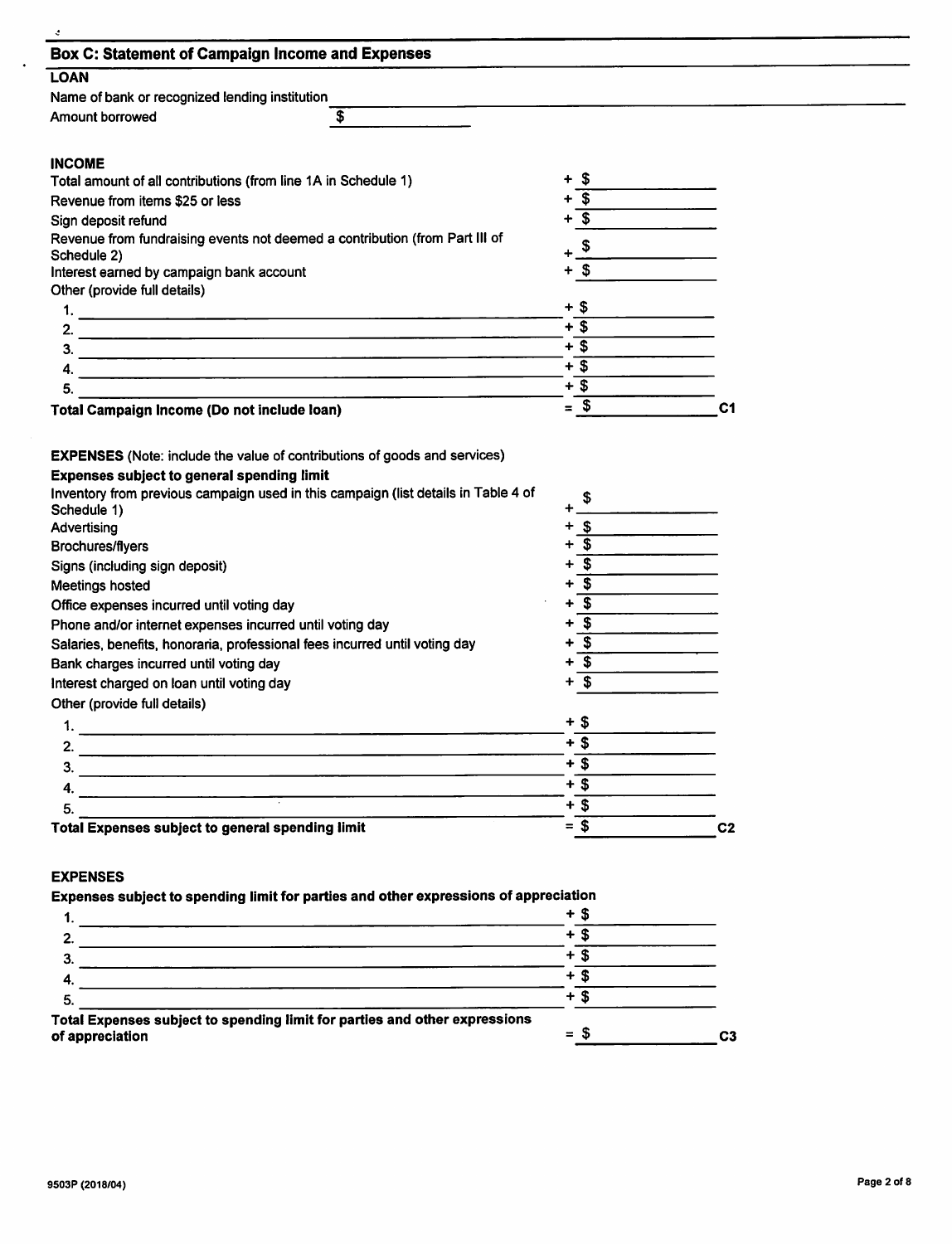| <b>Box C: Statement of Campaign Income and Expenses</b>                                                                      |                                      |                |
|------------------------------------------------------------------------------------------------------------------------------|--------------------------------------|----------------|
| <b>LOAN</b>                                                                                                                  |                                      |                |
| Name of bank or recognized lending institution                                                                               |                                      |                |
| Amount borrowed<br>\$                                                                                                        |                                      |                |
| <b>INCOME</b>                                                                                                                |                                      |                |
| Total amount of all contributions (from line 1A in Schedule 1)                                                               | \$<br>٠                              |                |
| Revenue from items \$25 or less                                                                                              | $\overline{\mathbf{s}}$              |                |
| Sign deposit refund                                                                                                          | $\overline{\mathbf{s}}$              |                |
| Revenue from fundraising events not deemed a contribution (from Part III of                                                  |                                      |                |
| Schedule 2)                                                                                                                  | $+$ \$                               |                |
| Interest earned by campaign bank account                                                                                     | $+$ \$                               |                |
| Other (provide full details)                                                                                                 |                                      |                |
|                                                                                                                              | + \$                                 |                |
| 2.                                                                                                                           | $+$ \$                               |                |
| 3.<br><u> 1980 - Andreas Andreas Andreas Andreas Andreas Andreas Andreas Andreas Andreas Andreas Andreas Andreas Andreas</u> | $+$ \$                               |                |
| 4.<br><u> 1989 - Johann Barbara, martin amerikan basar dan basa dan basa dan basa dalam basa dan basa dan basa dan basa</u>  | $+$ \$                               |                |
| 5.                                                                                                                           | $+3$                                 |                |
| Total Campaign Income (Do not include loan)                                                                                  | $=$ \$                               | C <sub>1</sub> |
| Inventory from previous campaign used in this campaign (list details in Table 4 of<br>Schedule 1)<br>Advertising             | \$<br>$+$ \$                         |                |
| <b>Brochures/flyers</b>                                                                                                      | $+$ \$                               |                |
| Signs (including sign deposit)                                                                                               | $+\overline{\$}$                     |                |
| Meetings hosted                                                                                                              | $+$ \$                               |                |
| Office expenses incurred until voting day                                                                                    | $+\overline{\$}$                     |                |
|                                                                                                                              |                                      |                |
|                                                                                                                              | $\overline{\boldsymbol{s}}$          |                |
| Phone and/or internet expenses incurred until voting day                                                                     | $\overline{\boldsymbol{\mathsf{s}}}$ |                |
|                                                                                                                              | $\overline{\mathbf{s}}$              |                |
| Salaries, benefits, honoraria, professional fees incurred until voting day<br>Bank charges incurred until voting day         | $\mathbf{s}$<br>+                    |                |
| Interest charged on loan until voting day                                                                                    |                                      |                |
| Other (provide full details)                                                                                                 | $+$ \$                               |                |
| 1.                                                                                                                           | $+$ \$                               |                |
| 2.                                                                                                                           | $+$ \$                               |                |
| 3.                                                                                                                           | $+$ \$                               |                |
| 4.                                                                                                                           |                                      |                |
| 5.<br><b>Total Expenses subject to general spending limit</b>                                                                | $+$ \$<br>$=$ \$                     | C <sub>2</sub> |

### Expenses subject to spending limit for parties and other expressions of appreciation +\_\$\_

|                                                                            | ٠   |    |    |
|----------------------------------------------------------------------------|-----|----|----|
|                                                                            |     |    |    |
| 5.                                                                         | ÷   |    |    |
| Total Expenses subject to spending limit for parties and other expressions |     |    |    |
| of appreciation                                                            | $=$ | эh | C3 |
|                                                                            |     |    |    |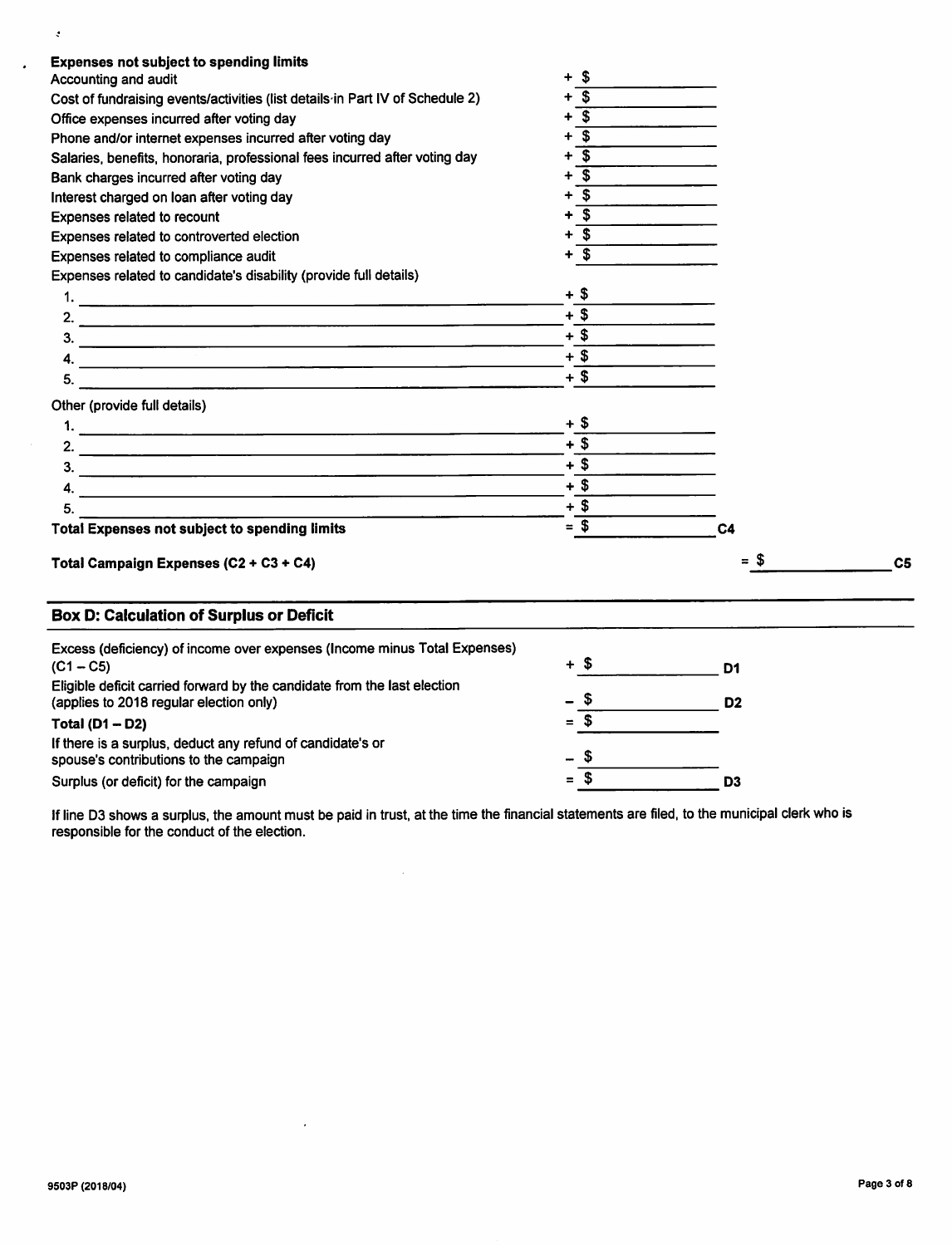| <b>Expenses not subject to spending limits</b><br>Accounting and audit                   | \$<br>$\ddotmark$            |                |                |
|------------------------------------------------------------------------------------------|------------------------------|----------------|----------------|
| Cost of fundraising events/activities (list details in Part IV of Schedule 2)            | $\overline{\mathbf{s}}$<br>÷ |                |                |
| Office expenses incurred after voting day                                                | $\overline{\mathbf{s}}$      |                |                |
| Phone and/or internet expenses incurred after voting day                                 | $\mathbf{s}$                 |                |                |
| Salaries, benefits, honoraria, professional fees incurred after voting day               | $\overline{\mathbf{s}}$      |                |                |
| Bank charges incurred after voting day                                                   | $\mathbf{s}$                 |                |                |
| Interest charged on loan after voting day                                                | $\mathbf{s}$                 |                |                |
| Expenses related to recount                                                              | $\overline{\mathbf{s}}$      |                |                |
| Expenses related to controverted election                                                | \$                           |                |                |
| Expenses related to compliance audit                                                     | $+$ \$                       |                |                |
| Expenses related to candidate's disability (provide full details)                        |                              |                |                |
|                                                                                          | $+$ \$                       |                |                |
|                                                                                          | $+$ \$                       |                |                |
|                                                                                          | $+$ \$                       |                |                |
|                                                                                          | $+$ \$                       |                |                |
| 4. $\overline{\phantom{a}}$<br>5.                                                        | $+$ \$                       |                |                |
| Other (provide full details)                                                             |                              |                |                |
|                                                                                          | + \$                         |                |                |
|                                                                                          | $+$ \$                       |                |                |
|                                                                                          | $+$ \$                       |                |                |
|                                                                                          | $+$ \$                       |                |                |
| 5.                                                                                       | $+$ \$                       |                |                |
| <b>Total Expenses not subject to spending limits</b>                                     | $=$ \$                       | C <sub>4</sub> |                |
| Total Campaign Expenses (C2 + C3 + C4)                                                   |                              | = \$           | C <sub>5</sub> |
| <b>Box D: Calculation of Surplus or Deficit</b>                                          |                              |                |                |
| Excess (deficiency) of income over expenses (Income minus Total Expenses)<br>$(C1 - C5)$ | $+$ \$                       | D <sub>1</sub> |                |

| Eligible deficit carried forward by the candidate from the last election<br>(applies to 2018 regular election only) | - \$     |      | D2 |
|---------------------------------------------------------------------------------------------------------------------|----------|------|----|
| Total $(D1 - D2)$                                                                                                   | $\equiv$ | -S   |    |
| If there is a surplus, deduct any refund of candidate's or<br>spouse's contributions to the campaign                | — S      |      |    |
| Surplus (or deficit) for the campaign                                                                               | $\equiv$ | - 36 | D3 |

 $\mathcal{A}^{\mathcal{A}}$ 

 $\sim$ 

If line D3 shows a surplus, the amount must be paid in trust, at the time the financial statements are filed, to the municipal clerk who is responsible for the conduct of the election.

 $\langle \cdot \rangle$ 

 $\ddot{\phantom{a}}$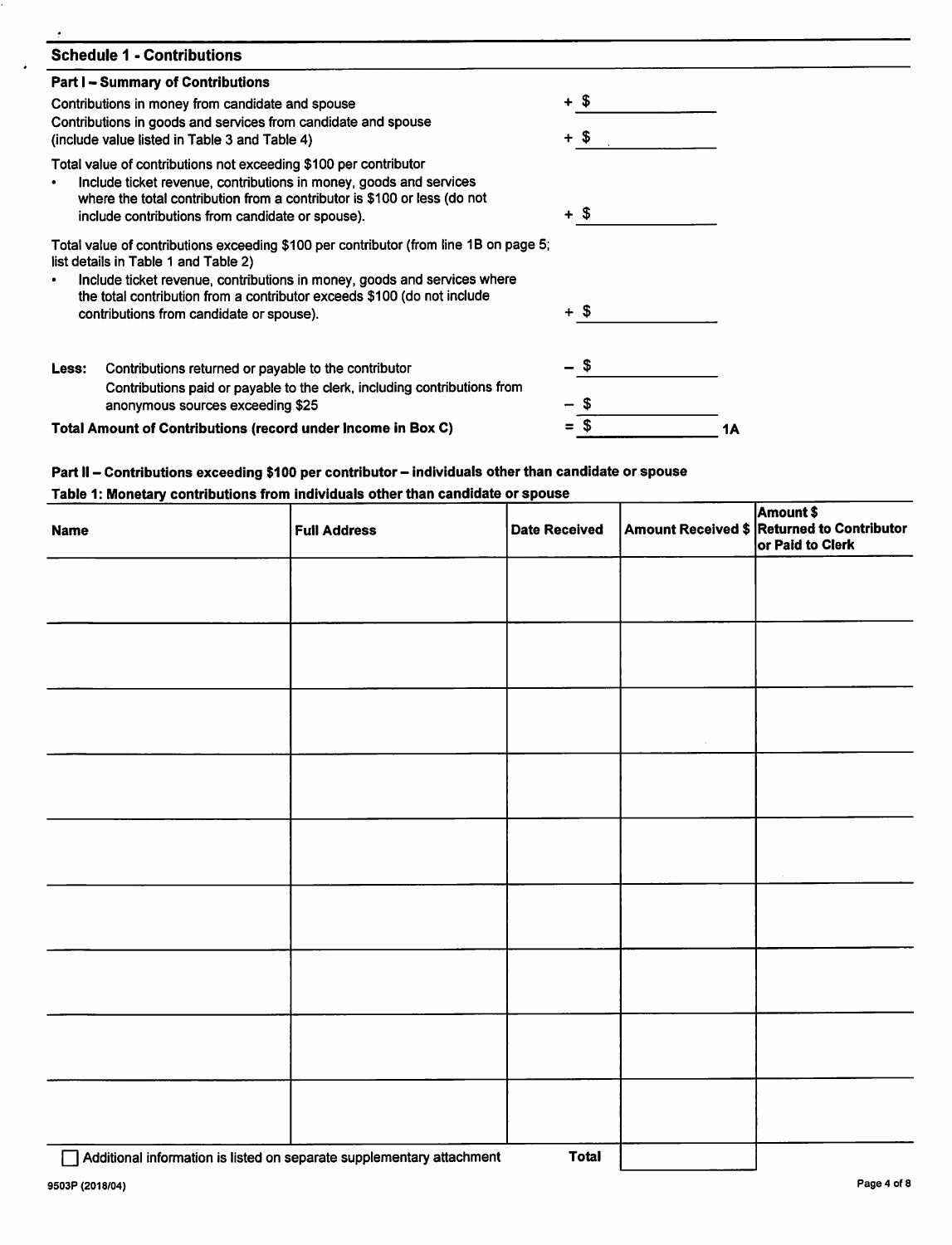| <b>Schedule 1 - Contributions</b>                                                                                                                                                                                                                                                   |      |    |
|-------------------------------------------------------------------------------------------------------------------------------------------------------------------------------------------------------------------------------------------------------------------------------------|------|----|
| <b>Part I – Summary of Contributions</b>                                                                                                                                                                                                                                            |      |    |
| Contributions in money from candidate and spouse                                                                                                                                                                                                                                    | + \$ |    |
| Contributions in goods and services from candidate and spouse<br>(include value listed in Table 3 and Table 4)                                                                                                                                                                      | + \$ |    |
| Total value of contributions not exceeding \$100 per contributor<br>Include ticket revenue, contributions in money, goods and services<br>$\bullet$<br>where the total contribution from a contributor is \$100 or less (do not<br>include contributions from candidate or spouse). | + \$ |    |
| Total value of contributions exceeding \$100 per contributor (from line 1B on page 5;<br>list details in Table 1 and Table 2)                                                                                                                                                       |      |    |
| Include ticket revenue, contributions in money, goods and services where<br>the total contribution from a contributor exceeds \$100 (do not include<br>contributions from candidate or spouse).                                                                                     | + \$ |    |
| Contributions returned or payable to the contributor<br>Less:<br>Contributions paid or payable to the clerk, including contributions from                                                                                                                                           | \$   |    |
| anonymous sources exceeding \$25                                                                                                                                                                                                                                                    |      |    |
| Total Amount of Contributions (record under Income in Box C)                                                                                                                                                                                                                        |      | 1Α |

# Part II - Contributions exceeding \$100 per contributor - individuals other than candidate or spouse<br>Table 1: Monetary contributions from individuals other than candidate or spouse

| <b>Name</b>                                                           | <b>Full Address</b> | <b>Date Received</b> | Amount \$<br>Amount Received \$ Returned to Contributor<br>or Paid to Clerk |
|-----------------------------------------------------------------------|---------------------|----------------------|-----------------------------------------------------------------------------|
|                                                                       |                     |                      |                                                                             |
|                                                                       |                     |                      |                                                                             |
|                                                                       |                     |                      |                                                                             |
|                                                                       |                     |                      |                                                                             |
|                                                                       |                     |                      |                                                                             |
|                                                                       |                     |                      |                                                                             |
|                                                                       |                     |                      |                                                                             |
|                                                                       |                     |                      |                                                                             |
|                                                                       |                     |                      |                                                                             |
| Additional information is listed on separate supplementary attachment |                     | <b>Total</b>         |                                                                             |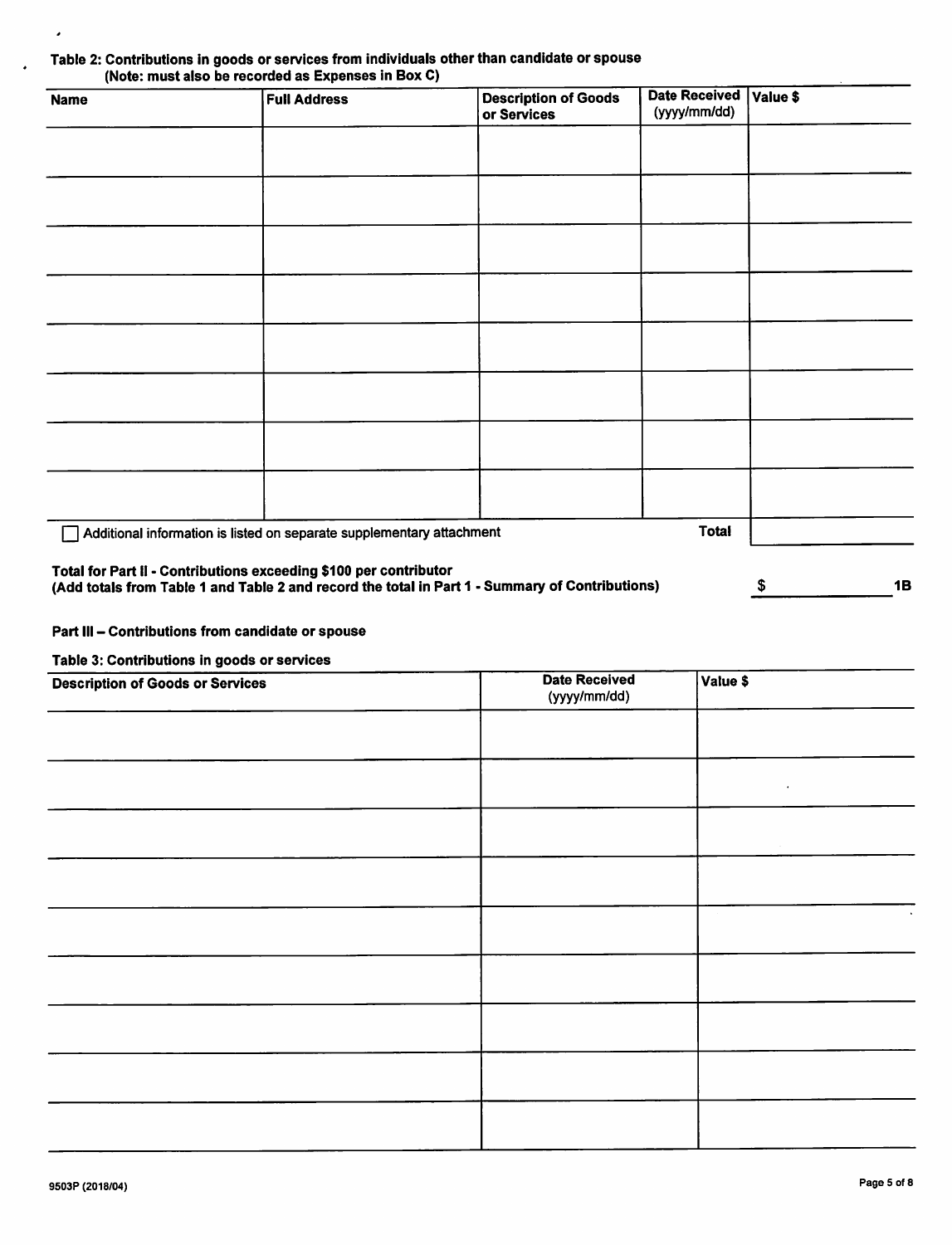## Table 2: Contributions in goods or services from individuals other than candidate or spouse<br>(Note: must also be recorded as Expenses in Box C)

| <b>Name</b> | <b>Full Address</b>                                                   | <b>Description of Goods</b><br>or Services                                                      | <b>Date Received</b><br>(yyyy/mm/dd) | Value \$ |           |
|-------------|-----------------------------------------------------------------------|-------------------------------------------------------------------------------------------------|--------------------------------------|----------|-----------|
|             |                                                                       |                                                                                                 |                                      |          |           |
|             |                                                                       |                                                                                                 |                                      |          |           |
|             |                                                                       |                                                                                                 |                                      |          |           |
|             |                                                                       |                                                                                                 |                                      |          |           |
|             |                                                                       |                                                                                                 |                                      |          |           |
|             |                                                                       |                                                                                                 |                                      |          |           |
|             |                                                                       |                                                                                                 |                                      |          |           |
|             |                                                                       |                                                                                                 |                                      |          |           |
|             | Additional information is listed on separate supplementary attachment |                                                                                                 | <b>Total</b>                         |          |           |
|             | Total for Part II - Contributions exceeding \$100 per contributor     | (Add totals from Table 1 and Table 2 and record the total in Part 1 - Summary of Contributions) |                                      | \$       | <b>1B</b> |

### Part III - Contributions from candidate or spouse

Table 3: Contributions in goods or services

,

| <b>Description of Goods or Services</b> | <b>Date Received</b><br>(yyyy/mm/dd) | Value \$  |
|-----------------------------------------|--------------------------------------|-----------|
|                                         |                                      |           |
|                                         |                                      | $\bullet$ |
|                                         |                                      |           |
|                                         |                                      |           |
|                                         |                                      |           |
|                                         |                                      |           |
|                                         |                                      |           |
|                                         |                                      |           |
|                                         |                                      |           |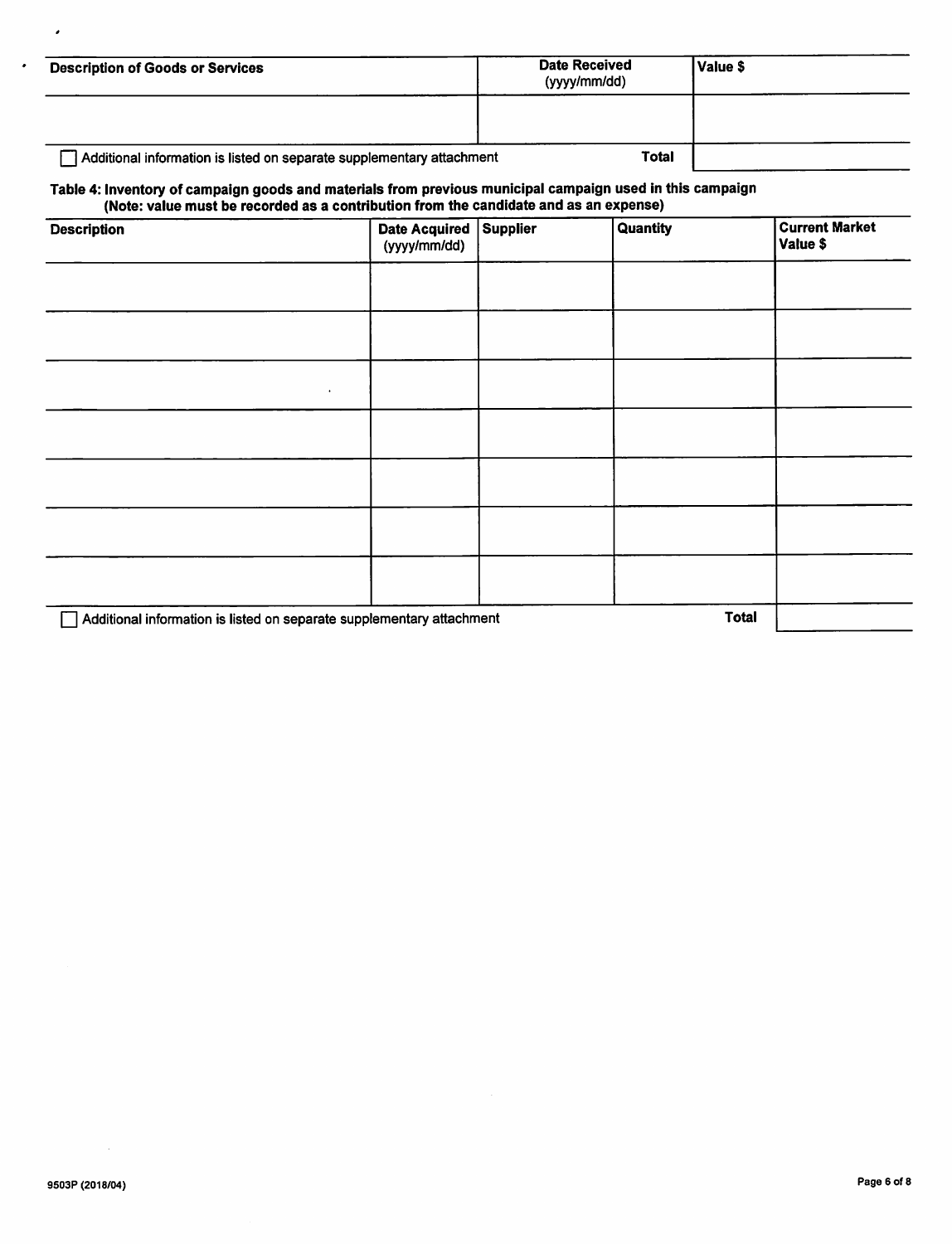| <b>Description of Goods or Services</b>                               | <b>Date Received</b><br>(yyyy/mm/dd) | l Value \$ |
|-----------------------------------------------------------------------|--------------------------------------|------------|
|                                                                       |                                      |            |
| Additional information is listed on separate supplementary attachment | <b>Total</b>                         |            |

### Table 4: Inventory of campaign goods and materials from previous municipal campaign used in this campaign (Note: value must be recorded as a contribution from the candidate and as an expense)

| <b>Description</b>                                                    | <b>Date Acquired</b><br>(yyyy/mm/dd) | Supplier | Quantity     | <b>Current Market</b><br>Value \$ |
|-----------------------------------------------------------------------|--------------------------------------|----------|--------------|-----------------------------------|
|                                                                       |                                      |          |              |                                   |
|                                                                       |                                      |          |              |                                   |
| ٠                                                                     |                                      |          |              |                                   |
|                                                                       |                                      |          |              |                                   |
|                                                                       |                                      |          |              |                                   |
|                                                                       |                                      |          |              |                                   |
|                                                                       |                                      |          |              |                                   |
| Additional information is listed on separate supplementary attachment |                                      |          | <b>Total</b> |                                   |

 $\lambda$ 

 $\cdot$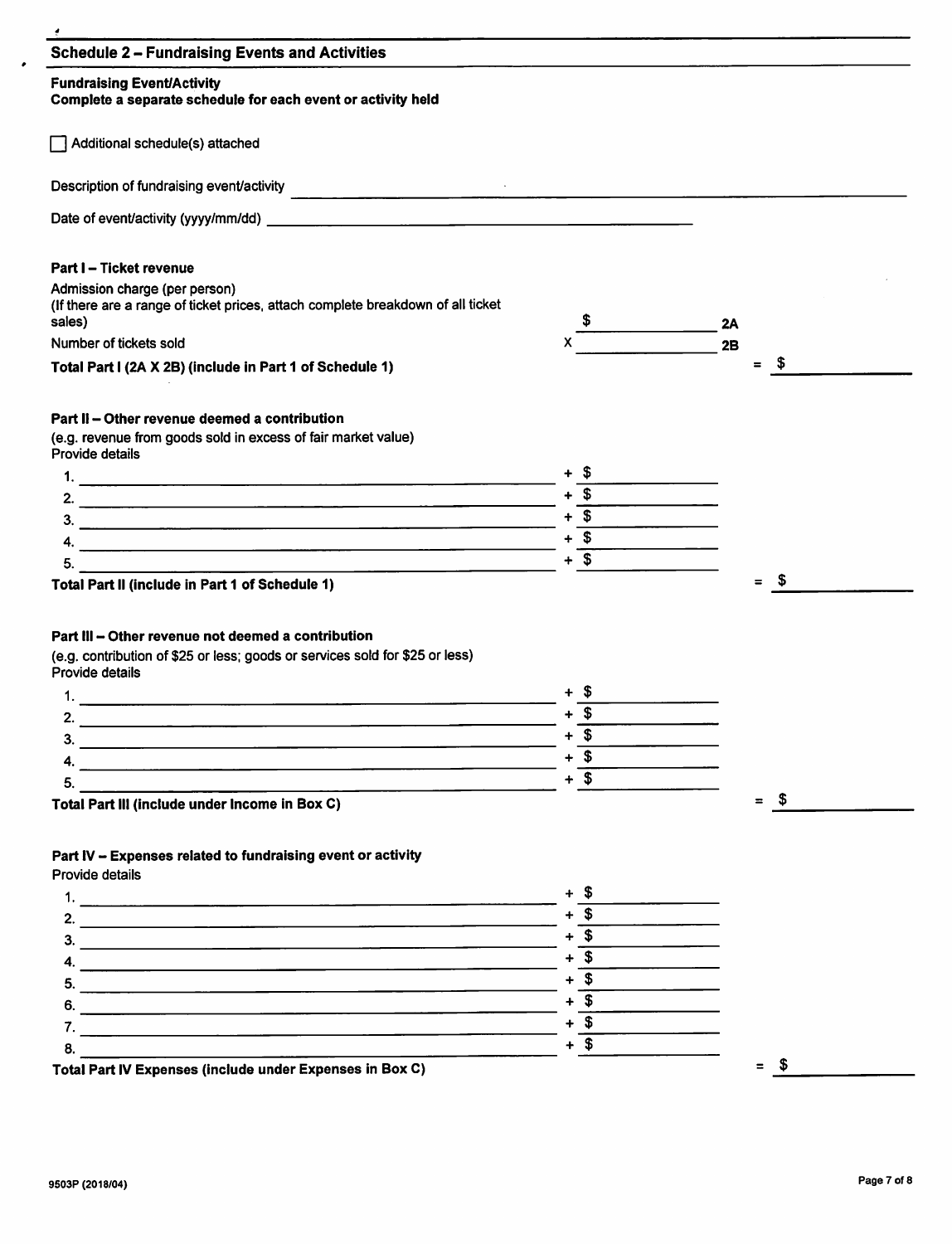| <b>Fundraising Event/Activity</b>                                                                                                                     |                                                                                      |             |
|-------------------------------------------------------------------------------------------------------------------------------------------------------|--------------------------------------------------------------------------------------|-------------|
| Complete a separate schedule for each event or activity held                                                                                          |                                                                                      |             |
| Additional schedule(s) attached                                                                                                                       |                                                                                      |             |
|                                                                                                                                                       |                                                                                      |             |
|                                                                                                                                                       |                                                                                      |             |
| Part I - Ticket revenue                                                                                                                               |                                                                                      |             |
| Admission charge (per person)<br>(If there are a range of ticket prices, attach complete breakdown of all ticket<br>sales)                            |                                                                                      | 2A          |
| Number of tickets sold                                                                                                                                |                                                                                      | 2B          |
| Total Part I (2A X 2B) (include in Part 1 of Schedule 1)                                                                                              |                                                                                      | - \$<br>$=$ |
| Part II - Other revenue deemed a contribution                                                                                                         |                                                                                      |             |
| (e.g. revenue from goods sold in excess of fair market value)<br>Provide details                                                                      |                                                                                      |             |
|                                                                                                                                                       |                                                                                      |             |
|                                                                                                                                                       | $+\qquad \qquad +$<br>$+\qquad \qquad +$<br>$+\qquad \qquad +$<br>$+\qquad \qquad +$ |             |
|                                                                                                                                                       |                                                                                      |             |
|                                                                                                                                                       |                                                                                      |             |
| 5.                                                                                                                                                    | $+\overline{\text{S}}$                                                               |             |
|                                                                                                                                                       |                                                                                      |             |
| Part III – Other revenue not deemed a contribution<br>(e.g. contribution of \$25 or less; goods or services sold for \$25 or less)<br>Provide details |                                                                                      |             |
|                                                                                                                                                       |                                                                                      |             |
| <u> 1980 - Johann Stein, martin de Berlin et al. (b. 1980)</u><br>2.                                                                                  | $+\overline{\$}$                                                                     |             |
|                                                                                                                                                       | $+$ \$                                                                               |             |
| $\overline{\mathbf{3.}}$                                                                                                                              |                                                                                      |             |
| 4. $\overline{\phantom{a}}$<br>5.                                                                                                                     | $+\overline{\text{S}}$                                                               |             |
| Total Part III (include under Income in Box C)                                                                                                        | $+\overline{\$}$                                                                     | $=$ \$      |
| Part IV - Expenses related to fundraising event or activity                                                                                           |                                                                                      |             |
| Provide details                                                                                                                                       |                                                                                      |             |
|                                                                                                                                                       | $+$ \$                                                                               |             |
|                                                                                                                                                       | $+ 5$                                                                                |             |
|                                                                                                                                                       | $+\overline{\text{I}}$                                                               |             |
| $\overline{a}$ .                                                                                                                                      | $+\overline{\$}$                                                                     |             |
|                                                                                                                                                       | $+\overline{\text{S}}$                                                               |             |
| $\overline{6}$ .                                                                                                                                      | $+\overline{\text{S}}$                                                               |             |
|                                                                                                                                                       | $+\sqrt{\frac{2}{1}}$                                                                |             |
| 8.<br>Total Part IV Expenses (include under Expenses in Box C)                                                                                        | $+ $$                                                                                | $=$ \$      |

 $\bullet$